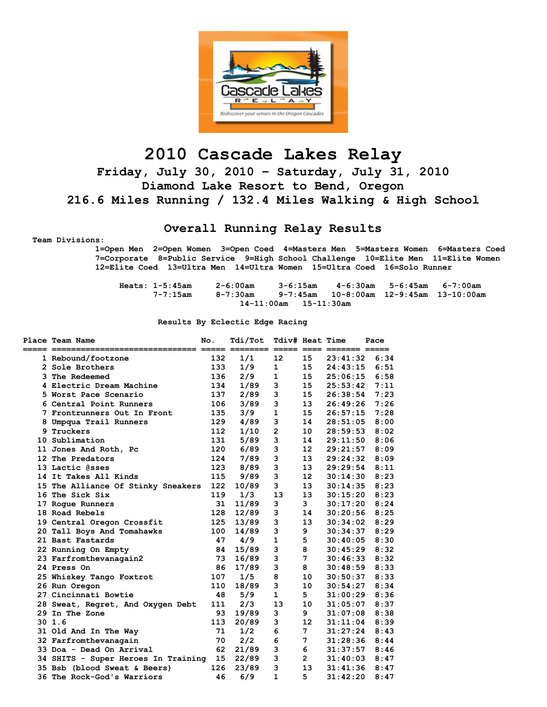

# **2010 Cascade Lakes Relay**

**Friday, July 30, 2010 – Saturday, July 31, 2010 Diamond Lake Resort to Bend, Oregon 216.6 Miles Running / 132.4 Miles Walking & High School** 

### **Overall Running Relay Results**

 **Team Divisions:** 

 **1=Open Men 2=Open Women 3=Open Coed 4=Masters Men 5=Masters Women 6=Masters Coed 7=Corporate 8=Public Service 9=High School Challenge 10=Elite Men 11=Elite Women 12=Elite Coed 13=Ultra Men 14=Ultra Women 15=Ultra Coed 16=Solo Runner** 

| Heats: 1-5:45am |                             | 2-6:00am | 3-6:15am |  | 4-6:30am 5-6:45am 6-7:00am |                                         |
|-----------------|-----------------------------|----------|----------|--|----------------------------|-----------------------------------------|
|                 | $7 - 7:15$ am               | 8-7:30am |          |  |                            | 9-7:45am 10-8:00am 12-9:45am 13-10:00am |
|                 | $14-11:00$ am $15-11:30$ am |          |          |  |                            |                                         |

#### **Results By Eclectic Edge Racing**

| <b>Place Team Name</b>              | No. | Tdi/Tot<br>$=$ | Tdiv# Heat Time<br>$=$ $=$ $=$ $=$ $=$ | $=$ $=$ $=$ $-$   |          | Pace |
|-------------------------------------|-----|----------------|----------------------------------------|-------------------|----------|------|
| 1 Rebound/footzone                  | 132 | 1/1            | 12                                     | 15                | 23:41:32 | 6:34 |
| 2 Sole Brothers                     | 133 | 1/9            | $\mathbf{1}$                           | 15                | 24:43:15 | 6:51 |
| 3 The Redeemed                      | 136 | 2/9            | 1                                      | 15                | 25:06:15 | 6:58 |
| 4 Electric Dream Machine            | 134 | 1/89           | з                                      | 15                | 25:53:42 | 7:11 |
| 5 Worst Pace Scenario               | 137 | 2/89           | 3                                      | 15                | 26:38:54 | 7:23 |
| 6 Central Point Runners             | 106 | 3/89           | 3                                      | 13                | 26:49:26 | 7:26 |
| 7 Frontrunners Out In Front         | 135 | 3/9            | $\mathbf{1}$                           | 15                | 26:57:15 | 7:28 |
| 8 Umpqua Trail Runners              | 129 | 4/89           | 3                                      | 14                | 28:51:05 | 8:00 |
| 9 Truckers                          | 112 | 1/10           | $\overline{2}$                         | 10                | 28:59:53 | 8:02 |
| 10 Sublimation                      | 131 | 5/89           | 3                                      | 14                | 29:11:50 | 8:06 |
| 11 Jones And Roth, Pc               | 120 | 6/89           | 3                                      | 12                | 29:21:57 | 8:09 |
| 12 The Predators                    | 124 | 7/89           | 3                                      | 13                | 29:24:32 | 8:09 |
| 13 Lactic @sses                     | 123 | 8/89           | 3                                      | 13                | 29:29:54 | 8:11 |
| 14 It Takes All Kinds               | 115 | 9/89           | 3                                      | $12 \overline{ }$ | 30:14:30 | 8:23 |
| 15 The Alliance Of Stinky Sneakers  | 122 | 10/89          | 3                                      | 13                | 30:14:35 | 8:23 |
| 16 The Sick Six                     | 119 | 1/3            | 13                                     | 13                | 30:15:20 | 8:23 |
| 17 Roque Runners                    | 31  | 11/89          | 3                                      | $\mathbf{3}$      | 30:17:20 | 8:24 |
| <b>18 Road Rebels</b>               | 128 | 12/89          | 3                                      | 14                | 30:20:56 | 8:25 |
| 19 Central Oregon Crossfit          | 125 | 13/89          | 3                                      | 13                | 30:34:02 | 8:29 |
| 20 Tall Boys And Tomahawks          | 100 | 14/89          | 3                                      | 9                 | 30:34:37 | 8:29 |
| 21 Bast Fastards                    | 47  | 4/9            | $\mathbf{1}$                           | 5                 | 30:40:05 | 8:30 |
| 22 Running On Empty                 | 84  | 15/89          | 3                                      | 8                 | 30:45:29 | 8:32 |
| 23 Farfromthevanagain2              | 73  | 16/89          | 3                                      | $\overline{7}$    | 30:46:33 | 8:32 |
| <b>24 Press On</b>                  | 86  | 17/89          | 3                                      | 8                 | 30:48:59 | 8:33 |
| 25 Whiskey Tango Foxtrot            | 107 | 1/5            | 8                                      | 10                | 30:50:37 | 8:33 |
| 26 Run Oregon                       | 110 | 18/89          | 3                                      | 10                | 30:54:27 | 8:34 |
| 27 Cincinnati Bowtie                | 48  | 5/9            | $\mathbf{1}$                           | 5                 | 31:00:29 | 8:36 |
| 28 Sweat, Regret, And Oxygen Debt   | 111 | 2/3            | 13                                     | 10                | 31:05:07 | 8:37 |
| 29 In The Zone                      | 93  | 19/89          | 3                                      | 9                 | 31:07:08 | 8:38 |
| 301.6                               | 113 | 20/89          | 3                                      | 12                | 31:11:04 | 8:39 |
| 31 Old And In The Way               | 71  | 1/2            | 6                                      | 7                 | 31:27:24 | 8:43 |
| 32 Farfromthevanagain               | 70  | 2/2            | 6                                      | 7                 | 31:28:36 | 8:44 |
| 33 Doa - Dead On Arrival            | 62  | 21/89          | 3                                      | 6                 | 31:37:57 | 8:46 |
| 34 SHITS - Super Heroes In Training | 15  | 22/89          | 3                                      | $\overline{2}$    | 31:40:03 | 8:47 |
| 35 Bsb (blood Sweat & Beers)        | 126 | 23/89          | 3                                      | 13                | 31:41:36 | 8:47 |
| 36 The Rock-God's Warriors          | 46  | 6/9            | $\mathbf{1}$                           | 5                 | 31:42:20 | 8:47 |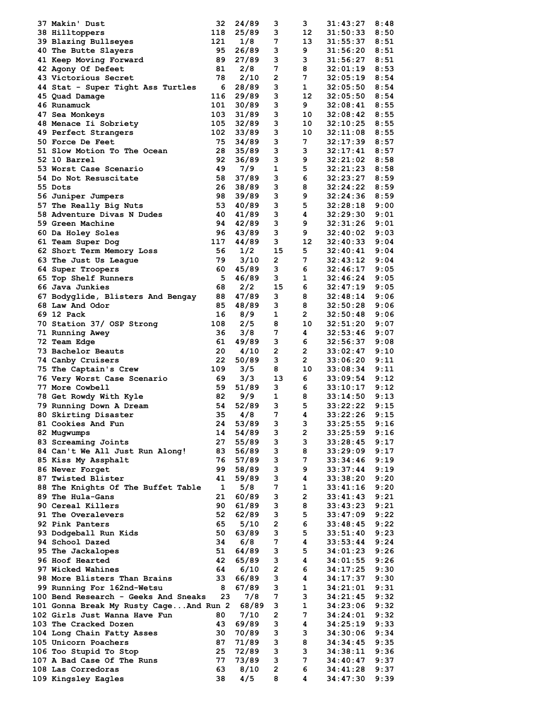| 37 Makin' Dust                         | 32           | 24/89 | з              | з              | 31:43:27 | 8:48 |
|----------------------------------------|--------------|-------|----------------|----------------|----------|------|
| <b>38 Hilltoppers</b>                  | 118          | 25/89 | 3              | 12             | 31:50:33 | 8:50 |
| 39 Blazing Bullseyes                   | 121          | 1/8   | 7              | 13             | 31:55:37 | 8:51 |
| 40 The Butte Slayers                   | 95           | 26/89 | 3              | 9              | 31:56:20 | 8:51 |
| 41 Keep Moving Forward                 | 89           | 27/89 | 3              | 3              | 31:56:27 | 8:51 |
| <b>42 Agony Of Defeet</b>              | 81           | 2/8   | 7              | 8              | 32:01:19 | 8:53 |
| 43 Victorious Secret                   | 78           | 2/10  | 2              | 7              | 32:05:19 | 8:54 |
| 44 Stat - Super Tight Ass Turtles      | 6            | 28/89 | з              | $\mathbf{1}$   | 32:05:50 | 8:54 |
| 45 Quad Damage                         | 116          | 29/89 | з              | 12             | 32:05:50 | 8:54 |
| 46 Runamuck                            | 101          | 30/89 | з              | 9              | 32:08:41 | 8:55 |
|                                        | 103          | 31/89 | 3              | 10             | 32:08:42 | 8:55 |
| 47 Sea Monkeys                         |              |       | 3              |                |          | 8:55 |
| 48 Menace Ii Sobriety                  | 105          | 32/89 |                | 10             | 32:10:25 |      |
| 49 Perfect Strangers                   | 102          | 33/89 | з              | 10             | 32:11:08 | 8:55 |
| <b>50 Force De Feet</b>                | 75           | 34/89 | 3              | 7              | 32:17:39 | 8:57 |
| 51 Slow Motion To The Ocean            | 28           | 35/89 | 3              | 3              | 32:17:41 | 8:57 |
| 52 10 Barrel                           | 92           | 36/89 | з              | 9              | 32:21:02 | 8:58 |
| 53 Worst Case Scenario                 | 49           | 7/9   | 1              | 5              | 32:21:23 | 8:58 |
| 54 Do Not Resuscitate                  | 58           | 37/89 | 3              | 6              | 32:23:27 | 8:59 |
| 55 Dots                                | 26           | 38/89 | з              | 8              | 32:24:22 | 8:59 |
| 56 Juniper Jumpers                     | 98           | 39/89 | 3              | 9              | 32:24:36 | 8:59 |
| 57 The Really Big Nuts                 | 53           | 40/89 | 3              | 5              | 32:28:18 | 9:00 |
| 58 Adventure Divas N Dudes             | 40           | 41/89 | 3              | 4              | 32:29:30 | 9:01 |
| 59 Green Machine                       | 94           | 42/89 | з              | 9              | 32:31:26 | 9:01 |
| 60 Da Holey Soles                      | 96           | 43/89 | 3              | 9              | 32:40:02 | 9:03 |
| 61 Team Super Dog                      | 117          | 44/89 | 3              | 12             | 32:40:33 | 9:04 |
| 62 Short Term Memory Loss              | 56           | 1/2   | 15             | 5              | 32:40:41 | 9:04 |
| 63 The Just Us League                  | 79           | 3/10  | $\mathbf{2}$   | 7              | 32:43:12 | 9:04 |
| 64 Super Troopers                      | 60           | 45/89 | 3              | 6              | 32:46:17 | 9:05 |
| 65 Top Shelf Runners                   | 5            | 46/89 | 3              | 1              | 32:46:24 | 9:05 |
| 66 Java Junkies                        | 68           | 2/2   | 15             | 6              | 32:47:19 | 9:05 |
| 67 Bodyglide, Blisters And Bengay      | 88           | 47/89 | 3              | 8              | 32:48:14 | 9:06 |
|                                        | 85           |       | 3              | 8              |          | 9:06 |
| 68 Law And Odor                        |              | 48/89 |                |                | 32:50:28 |      |
| 69 12 Pack                             | 16           | 8/9   | 1              | 2              | 32:50:48 | 9:06 |
| 70 Station 37/ OSP Strong              | 108          | 2/5   | 8              | 10             | 32:51:20 | 9:07 |
| 71 Running Awey                        | 36           | 3/8   | 7              | 4              | 32:53:46 | 9:07 |
| 72 Team Edge                           | 61           | 49/89 | 3              | 6              | 32:56:37 | 9:08 |
| 73 Bachelor Beauts                     | 20           | 4/10  | $\mathbf{2}$   | $\overline{2}$ | 33:02:47 | 9:10 |
| 74 Canby Cruisers                      | 22           | 50/89 | 3              | $\mathbf{2}$   | 33:06:20 | 9:11 |
| 75 The Captain's Crew                  | 109          | 3/5   | 8              | 10             | 33:08:34 | 9:11 |
| 76 Very Worst Case Scenario            | 69           | 3/3   | 13             | 6              | 33:09:54 | 9:12 |
| <b>77 More Cowbell</b>                 | 59           | 51/89 | 3              | 6              | 33:10:17 | 9:12 |
| 78 Get Rowdy With Kyle                 | 82           | 9/9   | 1              | 8              | 33:14:50 | 9:13 |
| 79 Running Down A Dream                | 54           | 52/89 | 3              | 5              | 33:22:22 | 9:15 |
| 80 Skirting Disaster                   | 35           | 4/8   | 7              | 4              | 33:22:26 | 9:15 |
| 81 Cookies And Fun                     | 24           | 53/89 | з              | з              | 33:25:55 | 9:16 |
| 82 Mugwumps                            | 14           | 54/89 | з              | 2              | 33:25:59 | 9:16 |
| 83 Screaming Joints                    | 27           | 55/89 | 3              | 3              | 33:28:45 | 9:17 |
| 84 Can't We All Just Run Along!        | 83           | 56/89 | 3              | 8              | 33:29:09 | 9:17 |
| 85 Kiss My Assphalt                    | 76           | 57/89 | з              | 7              | 33:34:46 | 9:19 |
| 86 Never Forget                        | 99           | 58/89 | 3              | 9              | 33:37:44 | 9:19 |
| 87 Twisted Blister                     | 41           | 59/89 | 3              | 4              | 33:38:20 | 9:20 |
| 88 The Knights Of The Buffet Table     | $\mathbf{1}$ | 5/8   | 7              | 1              | 33:41:16 | 9:20 |
| 89 The Hula-Gans                       | 21           | 60/89 | з              | 2              | 33:41:43 | 9:21 |
| 90 Cereal Killers                      | 90           | 61/89 | 3              | 8              | 33:43:23 | 9:21 |
| 91 The Overalevers                     | 52           |       | 3              | 5              |          | 9:22 |
|                                        |              | 62/89 |                |                | 33:47:09 |      |
| 92 Pink Panters                        | 65           | 5/10  | $\overline{2}$ | 6              | 33:48:45 | 9:22 |
| 93 Dodgeball Run Kids                  | 50           | 63/89 | 3              | 5              | 33:51:40 | 9:23 |
| 94 School Dazed                        | 34           | 6/8   | 7              | 4              | 33:53:44 | 9:24 |
| 95 The Jackalopes                      | 51           | 64/89 | з              | 5              | 34:01:23 | 9:26 |
| 96 Hoof Hearted                        | 42           | 65/89 | 3              | 4              | 34:01:55 | 9:26 |
| 97 Wicked Wahines                      | 64           | 6/10  | $\overline{2}$ | 6              | 34:17:25 | 9:30 |
| 98 More Blisters Than Brains           | 33           | 66/89 | 3              | 4              | 34:17:37 | 9:30 |
| 99 Running For 162nd-Wetsu             | 8            | 67/89 | 3              | 1              | 34:21:01 | 9:31 |
| 100 Bend Research - Geeks And Sneaks   | 23           | 7/8   | 7              | 3              | 34:21:45 | 9:32 |
| 101 Gonna Break My Rusty CageAnd Run 2 |              | 68/89 | 3              | 1              | 34:23:06 | 9:32 |
| 102 Girls Just Wanna Have Fun          | 80           | 7/10  | 2              | 7              | 34:24:01 | 9:32 |
| 103 The Cracked Dozen                  | 43           | 69/89 | 3              | 4              | 34:25:19 | 9:33 |
| 104 Long Chain Fatty Asses             | 30           | 70/89 | 3              | 3              | 34:30:06 | 9:34 |
| 105 Unicorn Poachers                   | 87           | 71/89 | 3              | 8              | 34:34:45 | 9:35 |
| 106 Too Stupid To Stop                 | 25           | 72/89 | 3              | 3              | 34:38:11 | 9:36 |
| 107 A Bad Case Of The Runs             | 77           | 73/89 | 3              | 7              | 34:40:47 | 9:37 |
| 108 Las Corredoras                     | 63           | 8/10  | $\mathbf{2}$   | 6              | 34:41:28 | 9:37 |
| 109 Kingsley Eagles                    | 38           | 4/5   | 8              | 4              | 34:47:30 | 9:39 |
|                                        |              |       |                |                |          |      |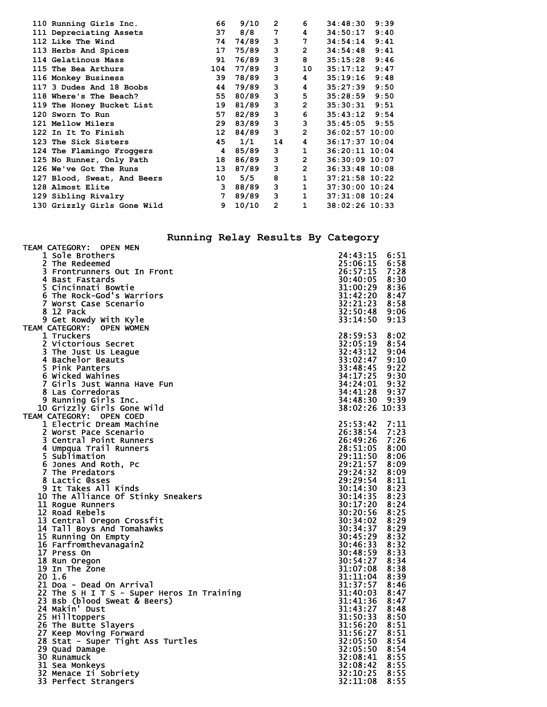| 110 Running Girls Inc.      | 66           | 9/10  | $\mathbf{2}$   | 6              | 34:48:30         | 9:39 |
|-----------------------------|--------------|-------|----------------|----------------|------------------|------|
| 111 Depreciating Assets     | 37           | 8/8   | 7              | 4              | 34:50:17         | 9:40 |
| 112 Like The Wind           | 74           | 74/89 | 3              | 7              | 34:54:14         | 9:41 |
| 113 Herbs And Spices        | 17           | 75/89 | 3              | $\overline{2}$ | 34:54:48         | 9:41 |
| 114 Gelatinous Mass         | 91           | 76/89 | з              | 8              | 35:15:28         | 9:46 |
| 115 The Bea Arthurs         | 104          | 77/89 | 3              | 10             | 35:17:12         | 9:47 |
| 116 Monkey Business         | 39           | 78/89 | 3              | $\overline{4}$ | 35:19:16         | 9:48 |
| 117 3 Dudes And 18 Boobs    | 44           | 79/89 | 3              | 4              | 35:27:39         | 9:50 |
| 118 Where's The Beach?      | 55           | 80/89 | з              | 5              | 35:28:59         | 9:50 |
| 119 The Honey Bucket List   | 19           | 81/89 | 3              | $\overline{2}$ | 35:30:31         | 9:51 |
| 120 Sworn To Run            | 57           | 82/89 | 3              | 6              | $35:43:12$ 9:54  |      |
| 121 Mellow Milers           | 29           | 83/89 | 3              | 3              | $35:45:05$ 9:55  |      |
| 122 In It To Finish         | 12           | 84/89 | $3^{\circ}$    | $\overline{2}$ | $36:02:57$ 10:00 |      |
| 123 The Sick Sisters        | 45           | 1/1   | 14             | 4              | 36:17:37 10:04   |      |
| 124 The Flamingo Froggers   | 4            | 85/89 | 3 <sup>7</sup> | $\mathbf{1}$   | $36:20:11$ 10:04 |      |
| 125 No Runner, Only Path    | 18           | 86/89 | $3^{\circ}$    | $\overline{2}$ | 36:30:09 10:07   |      |
| 126 We've Got The Runs      | 13           | 87/89 | 3              | $\overline{2}$ | $36:33:48$ 10:08 |      |
| 127 Blood, Sweat, And Beers | 10           | 5/5   | 8              | 1              | $37:21:58$ 10:22 |      |
| 128 Almost Elite            | $\mathbf{3}$ | 88/89 | 3              | $\mathbf{1}$   | 37:30:00 10:24   |      |
| 129 Sibling Rivalry         | $7^{\circ}$  | 89/89 | $3^{\circ}$    | 1              | 37:31:08 10:24   |      |
| 130 Grizzly Girls Gone Wild | 9            | 10/10 | $\mathbf{2}$   | $\mathbf{1}$   | $38:02:26$ 10:33 |      |
|                             |              |       |                |                |                  |      |

TEAM CATEGORY: OPEN MEN

# **Running Relay Results By Category**

| 1 Sole Brothers                                    | 24:43:15       | 6:51 |
|----------------------------------------------------|----------------|------|
| 2 The Redeemed                                     | 25:06:15       | 6:58 |
| 3 Frontrunners Out In Front                        | 26:57:15       | 7:28 |
| 4 Bast Fastards                                    | 30:40:05 8:30  |      |
| 5 Cincinnati Bowtie                                | 31:00:29 8:36  |      |
| 6 The Rock-God's Warriors                          | 31:42:20 8:47  |      |
| 7 Worst Case Scenario                              | 32:21:23 8:58  |      |
| 8 12 Pack                                          | 32:50:48 9:06  |      |
|                                                    | 33:14:50       | 9:13 |
| 9 Get Rowdy With Kyle<br>TEAM CATEGORY: OPEN WOMEN |                |      |
| 1 Truckers                                         | 28:59:53       | 8:02 |
| 2 Victorious Secret                                | 32:05:19 8:54  |      |
| 3 The Just Us League                               | 32:43:12       | 9:04 |
| 4 Bachelor Beauts                                  | 33:02:47       | 9:10 |
| 5 Pink Panters                                     | 33:48:45 9:22  |      |
| 6 Wicked Wahines                                   | 34:17:25 9:30  |      |
| 7 Girls Just Wanna Have Fun                        | 34:24:01 9:32  |      |
| 8 Las Corredoras                                   | 34:41:28 9:37  |      |
|                                                    | 34:48:30 9:39  |      |
| 9 Running Girls Inc.                               | 38:02:26 10:33 |      |
| 10 Grizzly Girls Gone Wild                         |                |      |
| TEAM CATEGORY: OPEN COED                           |                |      |
| 1 Electric Dream Machine                           | 25:53:42       | 7:11 |
| 2 Worst Pace Scenario                              | 26:38:54 7:23  |      |
| 3 Central Point Runners                            | 26:49:26 7:26  |      |
| 4 Umpqua Trail Runners                             | 28:51:05 8:00  |      |
| 5 Sublimation                                      | 29:11:50 8:06  |      |
| 6 Jones And Roth, Pc                               | 29:21:57       | 8:09 |
| 7 The Predators                                    | 29:24:32       | 8:09 |
| 8 Lactic @sses                                     | 29:29:54 8:11  |      |
| 9 It Takes All Kinds                               | 30:14:30 8:23  |      |
| 10 The Alliance Of Stinky Sneakers                 | 30:14:35 8:23  |      |
| 11 Rogue Runners                                   | 30:17:20 8:24  |      |
| 12 Road Rebels                                     | 30:20:56 8:25  |      |
| 13 Central Oregon Crossfit                         | 30:34:02       | 8:29 |
| 14 Tall Boys And Tomahawks                         | 30:34:37       | 8:29 |
| 15 Running On Empty                                | 30:45:29 8:32  |      |
| 16 Farfromthevanagain2                             | 30:46:33 8:32  |      |
| 17 Press On                                        | 30:48:59 8:33  |      |
| 18 Run Oregon                                      | 30:54:27 8:34  |      |
| 19 In The Zone                                     | 31:07:08 8:38  |      |
| 20 1.6                                             | 31:11:04 8:39  |      |
| 21 Doa - Dead On Arrival                           | 31:37:57       | 8:46 |
| 22 The S H I T S - Super Heros In Training         | 31:40:03       | 8:47 |
| 23 Bsb (blood Sweat & Beers)                       | 31:41:36 8:47  |      |
| 24 Makin' Dust                                     | 31:43:27       | 8:48 |
| 25 Hilltoppers                                     | 31:50:33 8:50  |      |
| 26 The Butte Slayers                               | 31:56:20 8:51  |      |
| 27 Keep Moving Forward                             | 31:56:27       | 8:51 |
| 28 Stat - Super Tight Ass Turtles                  | 32:05:50 8:54  |      |
| 29 Quad Damage                                     | 32:05:50 8:54  |      |
| 30 Runamuck                                        | 32:08:41 8:55  |      |
| 31 Sea Monkeys                                     | 32:08:42 8:55  |      |
| 32 Menace Ii Sobriety                              | 32:10:25 8:55  |      |
| 33 Perfect Strangers                               | 32:11:08       | 8:55 |
|                                                    |                |      |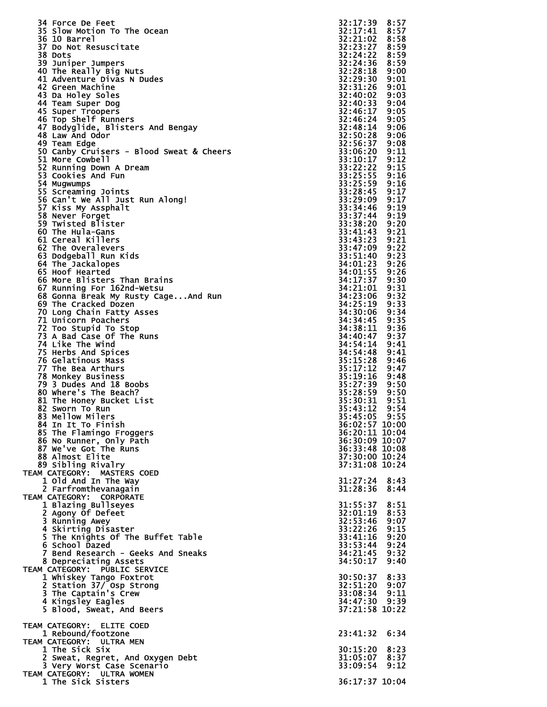|                                                        | 32:17:39<br>8:57                     |
|--------------------------------------------------------|--------------------------------------|
| <b>34 Force De Feet</b><br>35 Slow Motion To The Ocean | 32:17:41<br>8:57                     |
| 36 10 Barrel                                           | 32:21:02<br>8:58                     |
| 37 Do Not Resuscitate                                  | 32:23:27<br>8:59                     |
| 38 Dots                                                | 32:24:22<br>8:59                     |
| 39 Juniper Jumpers                                     | 32:24:36<br>8:59                     |
| 40 The Really Big Nuts<br>41 Adventure Divas N Dudes   | 32:28:18<br>9:00<br>32:29:30<br>9:01 |
| 42 Green Machine                                       | 32:31:26<br>9:01                     |
| 43 Da Holey Soles                                      | 32:40:02<br>9:03                     |
| 44 Team Super Dog                                      | 32:40:33<br>9:04                     |
| 45 Super Troopers                                      | 32:46:17<br>9:05                     |
| 46 Top Shelf Runners                                   | 32:46:24<br>9:05                     |
| 47 Bodyglide, Blisters And Bengay                      | 32:48:14<br>9:06                     |
| 48 Law And Odor                                        | 32:50:28<br>9:06                     |
| 49 Team Edge                                           | 32:56:37<br>9:08                     |
| 50 Canby Cruisers - Blood Sweat & Cheers               | 33:06:20<br>9:11                     |
| 51 More Cowbell                                        | 33:10:17<br>9:12                     |
| 52 Running Down A Dream                                | 33:22:22<br>9:15                     |
| 53 Cookies And Fun                                     | 33:25:55<br>9:16                     |
| 54 Mugwumps                                            | 33:25:59<br>9:16<br>33:28:45<br>9:17 |
| 55 Screaming Joints<br>56 Can't We All Just Run Along! | 33:29:09<br>9:17                     |
| 57 Kiss My Assphalt                                    | 33:34:46<br>9:19                     |
| 58 Never Forget                                        | 33:37:44<br>9:19                     |
| 59 Twisted Blister                                     | 9:20<br>33:38:20                     |
| 60 The Hula-Gans                                       | 33:41:43<br>9:21                     |
| 61 Cereal Killers                                      | 9:21<br>33:43:23                     |
| 62 The Overalevers                                     | 33:47:09<br>9:22                     |
| 63 Dodgeball Run Kids                                  | 33:51:40<br>9:23                     |
| 64 The Jackalopes                                      | 34:01:23<br>9:26                     |
| 65 Hoof Hearted                                        | 9:26<br>34:01:55                     |
| 66 More Blisters Than Brains                           | 34:17:37<br>9:30                     |
| 67 Running For 162nd-Wetsu                             | 34:21:01<br>9:31                     |
| 68 Gonna Break My Rusty CageAnd Run                    | 34:23:06<br>9:32                     |
| 69 The Cracked Dozen                                   | 34:25:19<br>9:33                     |
| 70 Long Chain Fatty Asses                              | 34:30:06<br>9:34<br>9:35             |
| 71 Unicorn Poachers<br>72 Too Stupid To Stop           | 34:34:45<br>34:38:11<br>9:36         |
| 73 A Bad Case Of The Runs                              | 34:40:47<br>9:37                     |
| 74 Like The Wind                                       | 34:54:14<br>9:41                     |
| 75 Herbs And Spices                                    | 34:54:48<br>9:41                     |
| 76 Gelatinous Mass                                     | 35:15:28<br>9:46                     |
| 77 The Bea Arthurs                                     | 35:17:12<br>9:47                     |
| 78 Monkey Business                                     | 35:19:16<br>9:48                     |
| 79 3 Dudes And 18 Boobs                                | 35:27:39<br>9:50                     |
| 80 Where's The Beach?                                  | 35:28:59<br>9:50                     |
| 81 The Honey Bucket List                               | 35:30:31<br>9:51                     |
| 82 Sworn To Run                                        | 35:43:12<br>9:54                     |
| 83 Mellow Milers                                       | 35:45:05 9:55                        |
| 84 In It To Finish                                     | 36:02:57 10:00                       |
| 85 The Flamingo Froggers                               | 36:20:11 10:04                       |
| 86 No Runner, Only Path                                | 36:30:09 10:07                       |
| 87 We've Got The Runs<br>88 Almost Elite               | 36:33:48 10:08                       |
|                                                        |                                      |
|                                                        | 37:30:00 10:24                       |
| 89 Sibling Rivalry                                     | 37:31:08 10:24                       |
| TEAM CATEGORY: MASTERS COED                            |                                      |
| 1 Old And In The Way                                   | $31:27:24$ 8:43<br>31:28:36 8:44     |
| 2 Farfromthevanagain<br>TEAM CATEGORY: CORPORATE       |                                      |
|                                                        | 31:55:37 8:51                        |
| 1 Blazing Bullseyes<br>2 Agony Of Defeet               | 8:53<br>32:01:19                     |
| 3 Running Awey                                         | 32:53:46<br>9:07                     |
| 4 Skirting Disaster                                    | 33:22:26<br>9:15                     |
| 5 The Knights Of The Buffet Table                      | 33:41:16<br>9:20                     |
| 6 School Dazed                                         | 33:53:44 9:24                        |
| 7 Bend Research - Geeks And Sneaks                     | 34:21:45 9:32                        |
| 8 Depreciating Assets                                  | 34:50:17 9:40                        |
| TEAM CATEGORY: PUBLIC SERVICE                          |                                      |
| 1 Whiskey Tango Foxtrot                                | 30:50:37 8:33                        |
| 2 Station 37/ Osp Strong                               | 32:51:20 9:07                        |
| 3 The Captain's Crew                                   | 33:08:34 9:11                        |
| 4 Kingsley Eagles                                      | 34:47:30 9:39                        |
| 5 Blood, Sweat, And Beers                              | 37:21:58 10:22                       |
| TEAM CATEGORY: ELITE COED                              |                                      |
| 1 Rebound/footzone                                     | 23:41:32 6:34                        |
| TEAM CATEGORY: ULTRA MEN                               |                                      |
| 1 The Sick Six                                         | 30:15:20 8:23                        |
| 2 Sweat, Regret, And Oxygen Debt                       | 31:05:07 8:37                        |
| 3 Very Worst Case Scenario                             | 33:09:54<br>9:12                     |
| TEAM CATEGORY: ULTRA WOMEN<br>1 The Sick Sisters       | 36:17:37 10:04                       |